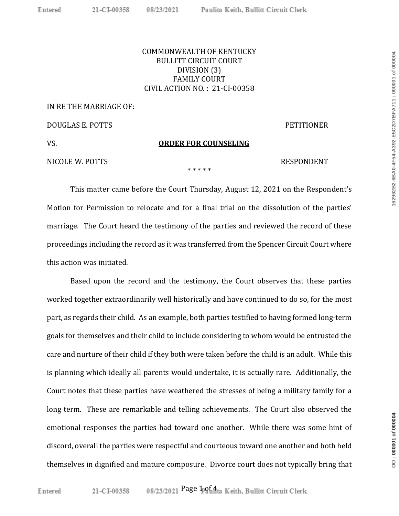## COMMONWEALTH OF KENTUCKY BULLITT CIRCUIT COURT DIVISION (3) FAMILY COURT CIVIL ACTION NO. : 21-CI-00358

### IN RE THE MARRIAGE OF:

DOUGLAS E. POTTS PETITIONER

VS. **ORDER FOR COUNSELING**

## NICOLE W. POTTS SECOND PRESPONDENT

\* \* \* \* \*

This matter came before the Court Thursday, August 12, 2021 on the Respondent's Motion for Permission to relocate and for a final trial on the dissolution of the parties' marriage. The Court heard the testimony of the parties and reviewed the record of these proceedings including the record as it was transferred from the Spencer Circuit Court where this action was initiated.

Based upon the record and the testimony, the Court observes that these parties worked together extraordinarily well historically and have continued to do so, for the most part, as regards their child. As an example, both parties testified to having formed long-term goals for themselves and their child to include considering to whom would be entrusted the care and nurture of their child if they both were taken before the child is an adult. While this is planning which ideally all parents would undertake, it is actually rare. Additionally, the Court notes that these parties have weathered the stresses of being a military family for a long term. These are remarkable and telling achievements. The Court also observed the emotional responses the parties had toward one another. While there was some hint of discord, overall the parties were respectful and courteous toward one another and both held themselves in dignified and mature composure. Divorce court does not typically bring that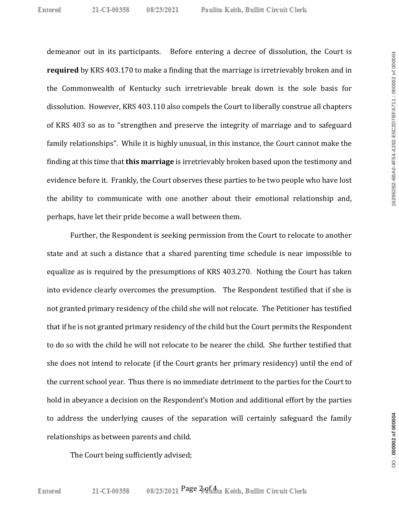demeanor out in its participants. Before entering a decree of dissolution, the Court is **required** by KRS 403.170 to make a finding that the marriage is irretrievably broken and in the Commonwealth of Kentucky such irretrievable break down is the sole basis for dissolution. However, KRS 403.110 also compels the Court to liberally construe all chapters of KRS 403 so as to "strengthen and preserve the integrity of marriage and to safeguard family relationships". While it is highly unusual, in this instance, the Court cannot make the finding at this time that **this marriage** is irretrievably broken based upon the testimony and evidence before it. Frankly, the Court observes these parties to be two people who have lost the ability to communicate with one another about their emotional relationship and, perhaps, have let their pride become a wall between them.

Further, the Respondent is seeking permission from the Court to relocate to another state and at such a distance that a shared parenting time schedule is near impossible to equalize as is required by the presumptions of KRS 403.270. Nothing the Court has taken into evidence clearly overcomes the presumption. The Respondent testified that if she is not granted primary residency of the child she will not relocate. The Petitioner has testified that if he is not granted primary residency of the child but the Court permits the Respondent to do so with the child he will not relocate to be nearer the child. She further testified that she does not intend to relocate (if the Court grants her primary residency) until the end of the current school year. Thus there is no immediate detriment to the parties for the Court to hold in abeyance a decision on the Respondent's Motion and additional effort by the parties to address the underlying causes of the separation will certainly safeguard the family relationships as between parents and child.

The Court being sufficiently advised;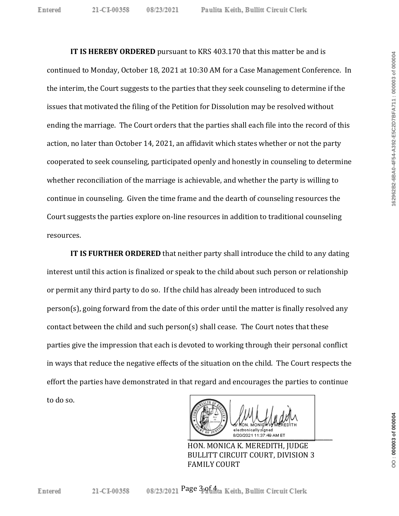**IT IS HEREBY ORDERED** pursuant to KRS 403.170 that this matter be and is continued to Monday, October 18, 2021 at 10:30 AM for a Case Management Conference. In the interim, the Court suggests to the parties that they seek counseling to determine if the issues that motivated the filing of the Petition for Dissolution may be resolved without ending the marriage. The Court orders that the parties shall each file into the record of this action, no later than October 14, 2021, an affidavit which states whether or not the party cooperated to seek counseling, participated openly and honestly in counseling to determine whether reconciliation of the marriage is achievable, and whether the party is willing to continue in counseling. Given the time frame and the dearth of counseling resources the Court suggests the parties explore on-line resources in addition to traditional counseling resources.

**IT IS FURTHER ORDERED** that neither party shall introduce the child to any dating interest until this action is finalized or speak to the child about such person or relationship or permit any third party to do so. If the child has already been introduced to such person(s), going forward from the date of this order until the matter is finally resolved any contact between the child and such person(s) shall cease. The Court notes that these parties give the impression that each is devoted to working through their personal conflict in ways that reduce the negative effects of the situation on the child. The Court respects the effort the parties have demonstrated in that regard and encourages the parties to continue to do so.



HON. MONICA K. MEREDITH, JUDGE BULLITT CIRCUIT COURT, DIVISION 3 FAMILY COURT

OO: 000003 of 000004